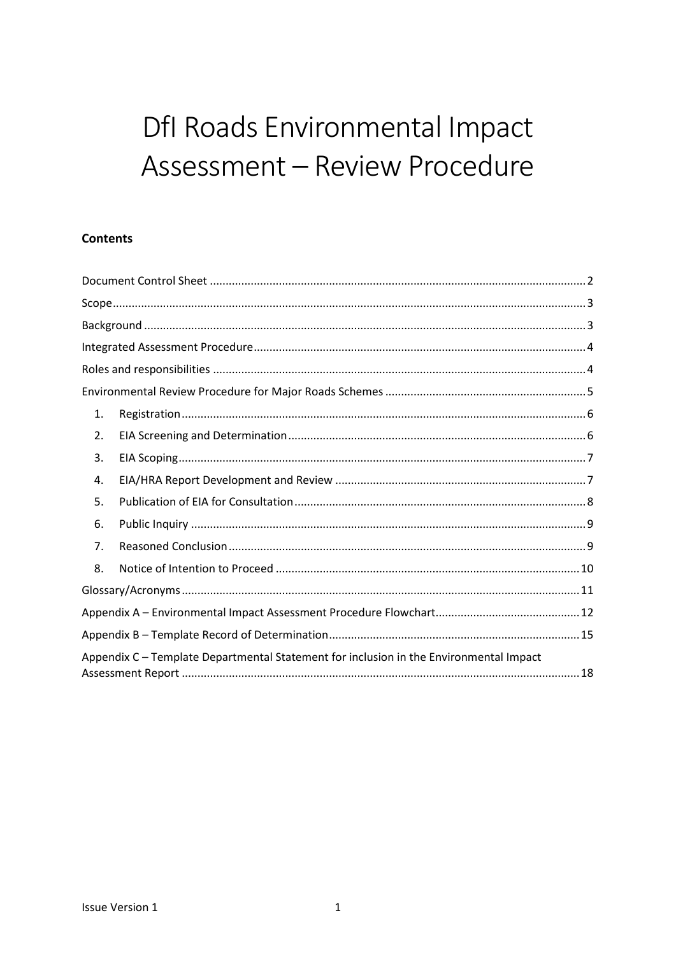# Dfl Roads Environmental Impact Assessment - Review Procedure

## **Contents**

| 1. |                                                                                        |  |
|----|----------------------------------------------------------------------------------------|--|
| 2. |                                                                                        |  |
| 3. |                                                                                        |  |
| 4. |                                                                                        |  |
| 5. |                                                                                        |  |
| 6. |                                                                                        |  |
| 7. |                                                                                        |  |
| 8. |                                                                                        |  |
|    |                                                                                        |  |
|    |                                                                                        |  |
|    |                                                                                        |  |
|    | Appendix C - Template Departmental Statement for inclusion in the Environmental Impact |  |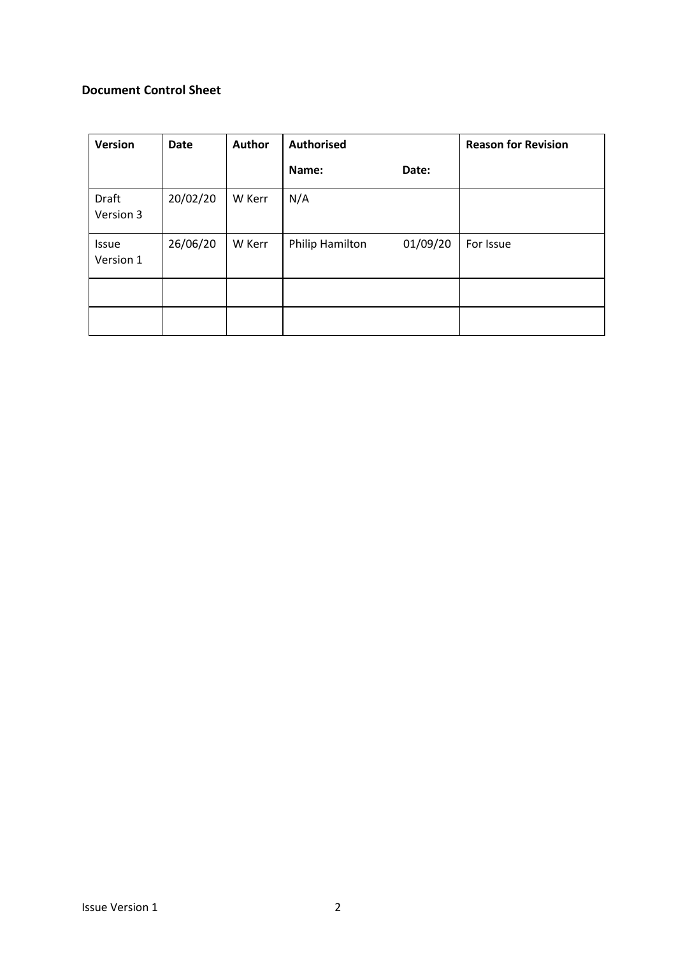#### <span id="page-1-0"></span>**Document Control Sheet**

| <b>Version</b>            | <b>Date</b> | Author | Authorised      |          | <b>Reason for Revision</b> |
|---------------------------|-------------|--------|-----------------|----------|----------------------------|
|                           |             |        | Name:           | Date:    |                            |
| <b>Draft</b><br>Version 3 | 20/02/20    | W Kerr | N/A             |          |                            |
| <b>Issue</b><br>Version 1 | 26/06/20    | W Kerr | Philip Hamilton | 01/09/20 | For Issue                  |
|                           |             |        |                 |          |                            |
|                           |             |        |                 |          |                            |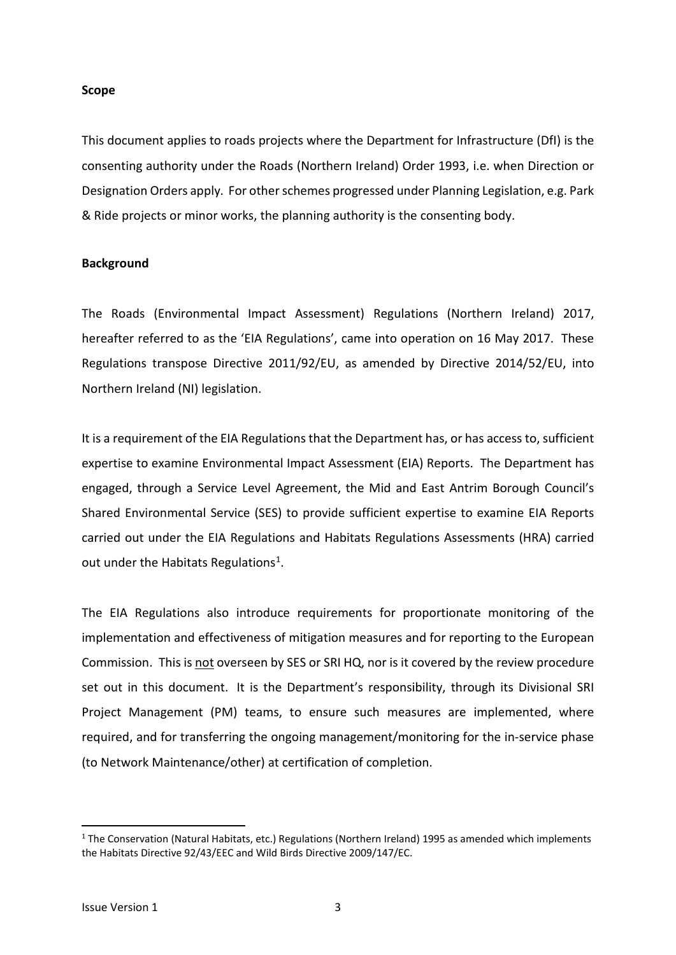#### <span id="page-2-0"></span>**Scope**

This document applies to roads projects where the Department for Infrastructure (DfI) is the consenting authority under the Roads (Northern Ireland) Order 1993, i.e. when Direction or Designation Orders apply. For other schemes progressed under Planning Legislation, e.g. Park & Ride projects or minor works, the planning authority is the consenting body.

#### <span id="page-2-1"></span>**Background**

The Roads (Environmental Impact Assessment) Regulations (Northern Ireland) 2017, hereafter referred to as the 'EIA Regulations', came into operation on 16 May 2017. These Regulations transpose Directive 2011/92/EU, as amended by Directive 2014/52/EU, into Northern Ireland (NI) legislation.

It is a requirement of the EIA Regulations that the Department has, or has access to, sufficient expertise to examine Environmental Impact Assessment (EIA) Reports. The Department has engaged, through a Service Level Agreement, the Mid and East Antrim Borough Council's Shared Environmental Service (SES) to provide sufficient expertise to examine EIA Reports carried out under the EIA Regulations and Habitats Regulations Assessments (HRA) carried out under the Habitats Regulations<sup>[1](#page-2-2)</sup>.

The EIA Regulations also introduce requirements for proportionate monitoring of the implementation and effectiveness of mitigation measures and for reporting to the European Commission. This is not overseen by SES or SRI HQ, nor is it covered by the review procedure set out in this document. It is the Department's responsibility, through its Divisional SRI Project Management (PM) teams, to ensure such measures are implemented, where required, and for transferring the ongoing management/monitoring for the in-service phase (to Network Maintenance/other) at certification of completion.

<span id="page-2-2"></span> $1$  The Conservation (Natural Habitats, etc.) Regulations (Northern Ireland) 1995 as amended which implements the Habitats Directive 92/43/EEC and Wild Birds Directive 2009/147/EC.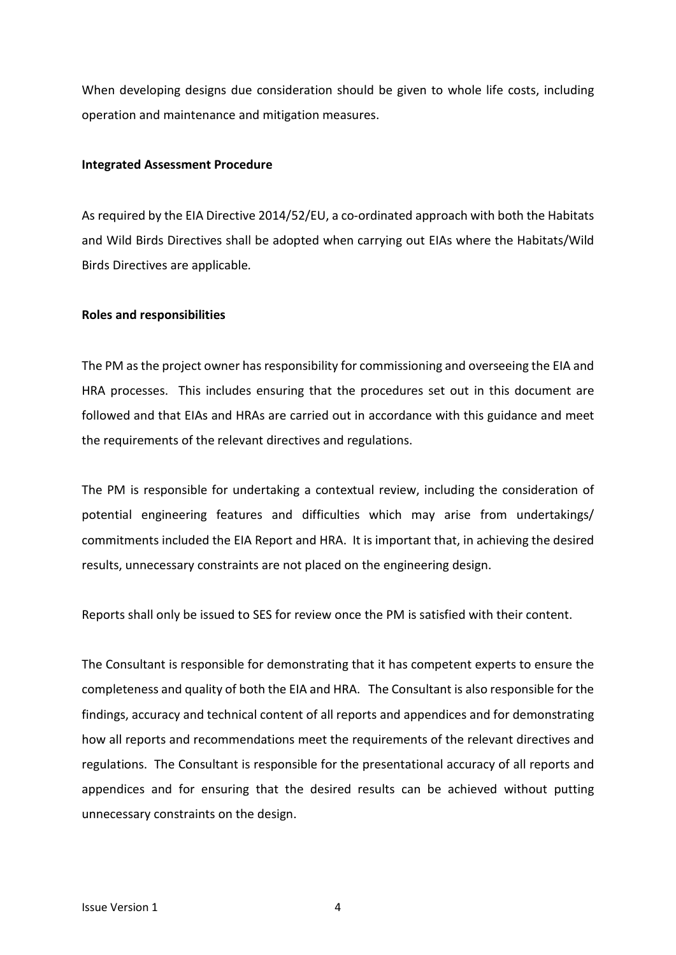When developing designs due consideration should be given to whole life costs, including operation and maintenance and mitigation measures.

#### <span id="page-3-0"></span>**Integrated Assessment Procedure**

As required by the EIA Directive 2014/52/EU, a co-ordinated approach with both the Habitats and Wild Birds Directives shall be adopted when carrying out EIAs where the Habitats/Wild Birds Directives are applicable*.*

#### <span id="page-3-1"></span>**Roles and responsibilities**

The PM as the project owner has responsibility for commissioning and overseeing the EIA and HRA processes. This includes ensuring that the procedures set out in this document are followed and that EIAs and HRAs are carried out in accordance with this guidance and meet the requirements of the relevant directives and regulations.

The PM is responsible for undertaking a contextual review, including the consideration of potential engineering features and difficulties which may arise from undertakings/ commitments included the EIA Report and HRA. It is important that, in achieving the desired results, unnecessary constraints are not placed on the engineering design.

Reports shall only be issued to SES for review once the PM is satisfied with their content.

The Consultant is responsible for demonstrating that it has competent experts to ensure the completeness and quality of both the EIA and HRA. The Consultant is also responsible for the findings, accuracy and technical content of all reports and appendices and for demonstrating how all reports and recommendations meet the requirements of the relevant directives and regulations. The Consultant is responsible for the presentational accuracy of all reports and appendices and for ensuring that the desired results can be achieved without putting unnecessary constraints on the design.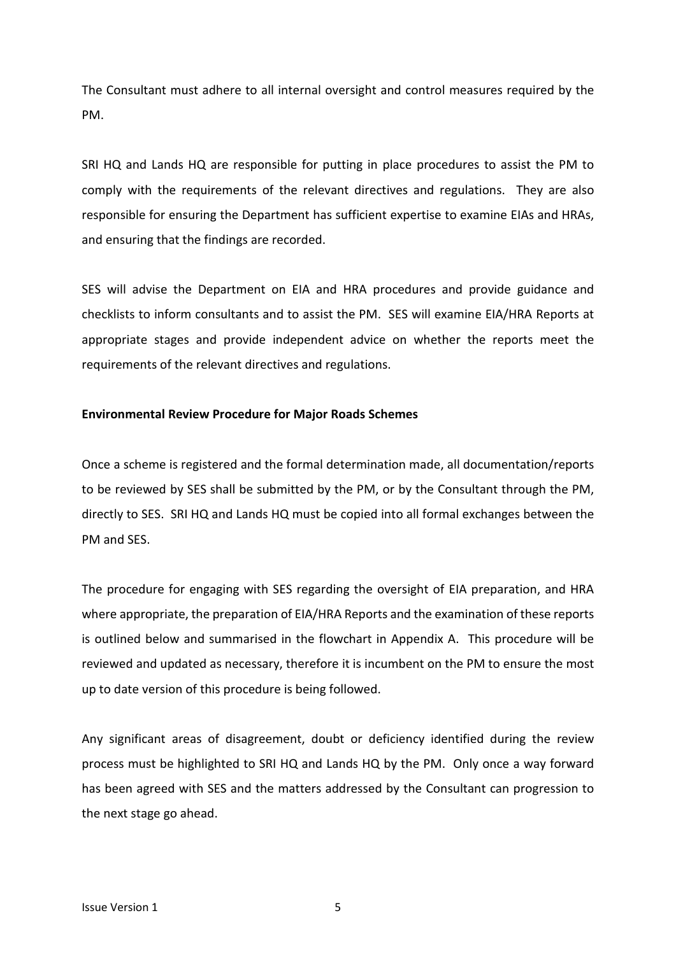The Consultant must adhere to all internal oversight and control measures required by the PM.

SRI HQ and Lands HQ are responsible for putting in place procedures to assist the PM to comply with the requirements of the relevant directives and regulations. They are also responsible for ensuring the Department has sufficient expertise to examine EIAs and HRAs, and ensuring that the findings are recorded.

SES will advise the Department on EIA and HRA procedures and provide guidance and checklists to inform consultants and to assist the PM. SES will examine EIA/HRA Reports at appropriate stages and provide independent advice on whether the reports meet the requirements of the relevant directives and regulations.

#### <span id="page-4-0"></span>**Environmental Review Procedure for Major Roads Schemes**

Once a scheme is registered and the formal determination made, all documentation/reports to be reviewed by SES shall be submitted by the PM, or by the Consultant through the PM, directly to SES. SRI HQ and Lands HQ must be copied into all formal exchanges between the PM and SES.

The procedure for engaging with SES regarding the oversight of EIA preparation, and HRA where appropriate, the preparation of EIA/HRA Reports and the examination of these reports is outlined below and summarised in the flowchart in Appendix A. This procedure will be reviewed and updated as necessary, therefore it is incumbent on the PM to ensure the most up to date version of this procedure is being followed.

Any significant areas of disagreement, doubt or deficiency identified during the review process must be highlighted to SRI HQ and Lands HQ by the PM. Only once a way forward has been agreed with SES and the matters addressed by the Consultant can progression to the next stage go ahead.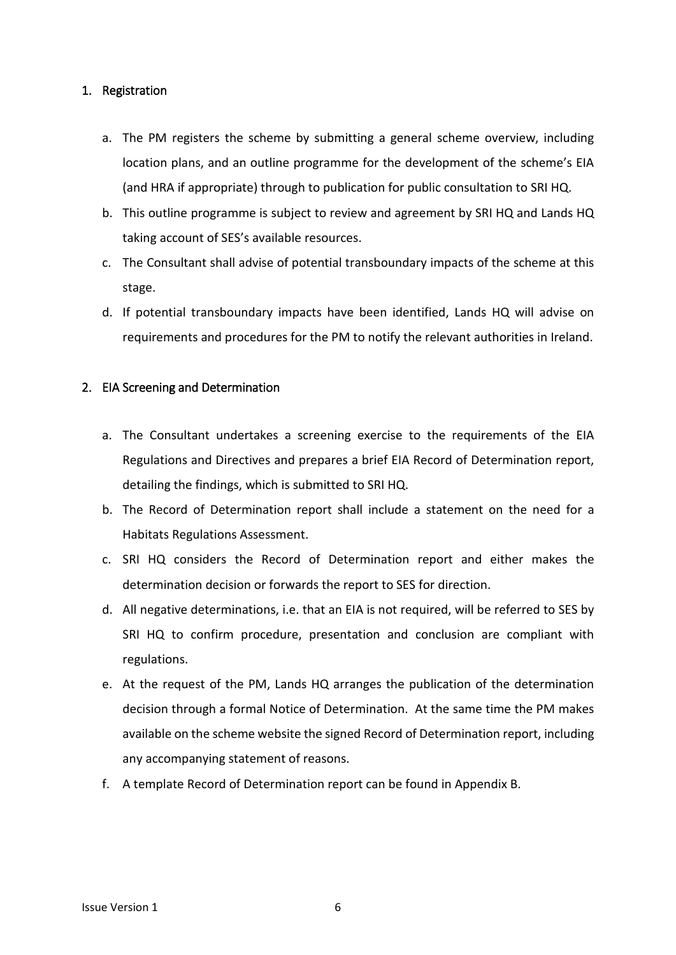#### <span id="page-5-0"></span>1. Registration

- a. The PM registers the scheme by submitting a general scheme overview, including location plans, and an outline programme for the development of the scheme's EIA (and HRA if appropriate) through to publication for public consultation to SRI HQ.
- b. This outline programme is subject to review and agreement by SRI HQ and Lands HQ taking account of SES's available resources.
- c. The Consultant shall advise of potential transboundary impacts of the scheme at this stage.
- d. If potential transboundary impacts have been identified, Lands HQ will advise on requirements and procedures for the PM to notify the relevant authorities in Ireland.

#### <span id="page-5-1"></span>2. EIA Screening and Determination

- a. The Consultant undertakes a screening exercise to the requirements of the EIA Regulations and Directives and prepares a brief EIA Record of Determination report, detailing the findings, which is submitted to SRI HQ.
- b. The Record of Determination report shall include a statement on the need for a Habitats Regulations Assessment.
- c. SRI HQ considers the Record of Determination report and either makes the determination decision or forwards the report to SES for direction.
- d. All negative determinations, i.e. that an EIA is not required, will be referred to SES by SRI HQ to confirm procedure, presentation and conclusion are compliant with regulations.
- e. At the request of the PM, Lands HQ arranges the publication of the determination decision through a formal Notice of Determination. At the same time the PM makes available on the scheme website the signed Record of Determination report, including any accompanying statement of reasons.
- f. A template Record of Determination report can be found in Appendix B.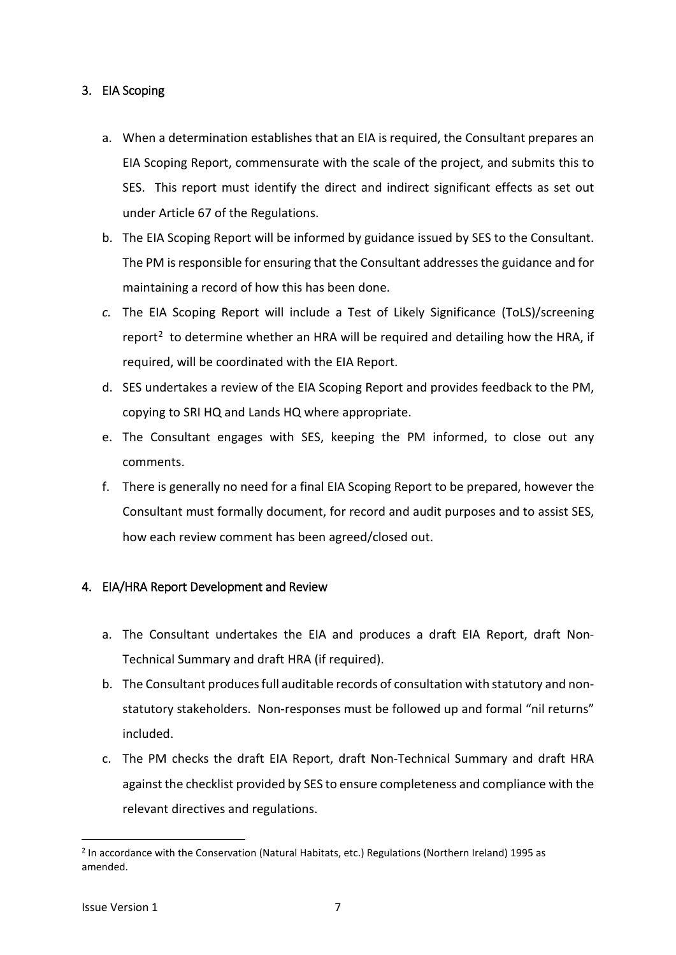## <span id="page-6-0"></span>3. EIA Scoping

- a. When a determination establishes that an EIA is required, the Consultant prepares an EIA Scoping Report, commensurate with the scale of the project, and submits this to SES. This report must identify the direct and indirect significant effects as set out under Article 67 of the Regulations.
- b. The EIA Scoping Report will be informed by guidance issued by SES to the Consultant. The PM is responsible for ensuring that the Consultant addresses the guidance and for maintaining a record of how this has been done.
- *c.* The EIA Scoping Report will include a Test of Likely Significance (ToLS)/screening report<sup>[2](#page-6-2)</sup> to determine whether an HRA will be required and detailing how the HRA, if required, will be coordinated with the EIA Report.
- d. SES undertakes a review of the EIA Scoping Report and provides feedback to the PM, copying to SRI HQ and Lands HQ where appropriate.
- e. The Consultant engages with SES, keeping the PM informed, to close out any comments.
- f. There is generally no need for a final EIA Scoping Report to be prepared, however the Consultant must formally document, for record and audit purposes and to assist SES, how each review comment has been agreed/closed out.

## <span id="page-6-1"></span>4. EIA/HRA Report Development and Review

- a. The Consultant undertakes the EIA and produces a draft EIA Report, draft Non-Technical Summary and draft HRA (if required).
- b. The Consultant produces full auditable records of consultation with statutory and nonstatutory stakeholders. Non-responses must be followed up and formal "nil returns" included.
- c. The PM checks the draft EIA Report, draft Non-Technical Summary and draft HRA against the checklist provided by SES to ensure completeness and compliance with the relevant directives and regulations.

<span id="page-6-2"></span><sup>&</sup>lt;sup>2</sup> In accordance with the Conservation (Natural Habitats, etc.) Regulations (Northern Ireland) 1995 as amended.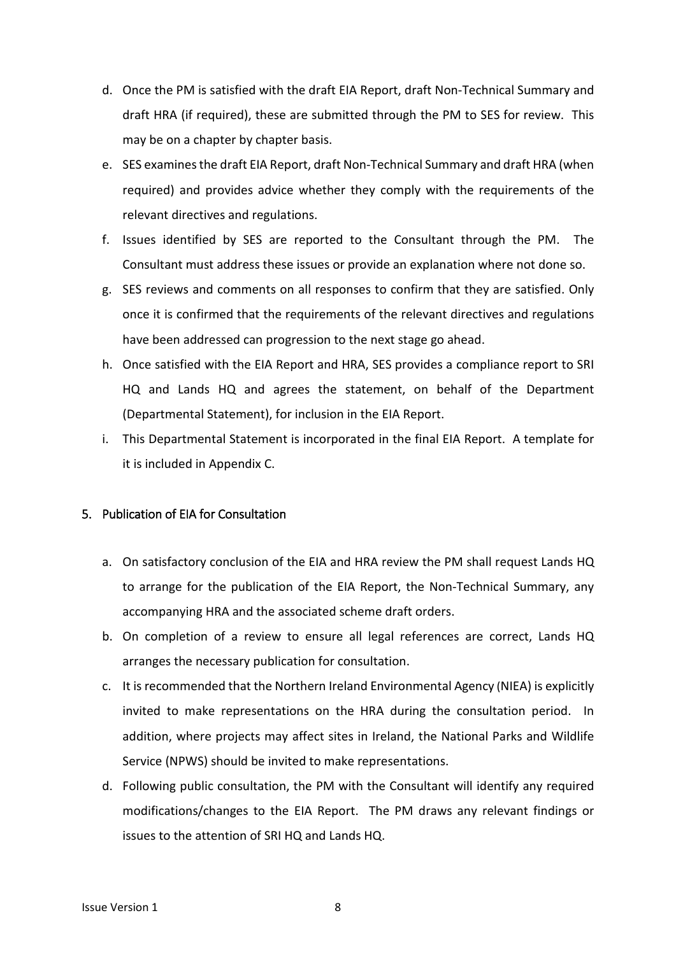- d. Once the PM is satisfied with the draft EIA Report, draft Non-Technical Summary and draft HRA (if required), these are submitted through the PM to SES for review. This may be on a chapter by chapter basis.
- e. SES examines the draft EIA Report, draft Non-Technical Summary and draft HRA (when required) and provides advice whether they comply with the requirements of the relevant directives and regulations.
- f. Issues identified by SES are reported to the Consultant through the PM. The Consultant must address these issues or provide an explanation where not done so.
- g. SES reviews and comments on all responses to confirm that they are satisfied. Only once it is confirmed that the requirements of the relevant directives and regulations have been addressed can progression to the next stage go ahead.
- h. Once satisfied with the EIA Report and HRA, SES provides a compliance report to SRI HQ and Lands HQ and agrees the statement, on behalf of the Department (Departmental Statement), for inclusion in the EIA Report.
- i. This Departmental Statement is incorporated in the final EIA Report. A template for it is included in Appendix C.

#### <span id="page-7-0"></span>5. Publication of EIA for Consultation

- a. On satisfactory conclusion of the EIA and HRA review the PM shall request Lands HQ to arrange for the publication of the EIA Report, the Non-Technical Summary, any accompanying HRA and the associated scheme draft orders.
- b. On completion of a review to ensure all legal references are correct, Lands HQ arranges the necessary publication for consultation.
- c. It is recommended that the Northern Ireland Environmental Agency (NIEA) is explicitly invited to make representations on the HRA during the consultation period. In addition, where projects may affect sites in Ireland, the National Parks and Wildlife Service (NPWS) should be invited to make representations.
- d. Following public consultation, the PM with the Consultant will identify any required modifications/changes to the EIA Report. The PM draws any relevant findings or issues to the attention of SRI HQ and Lands HQ.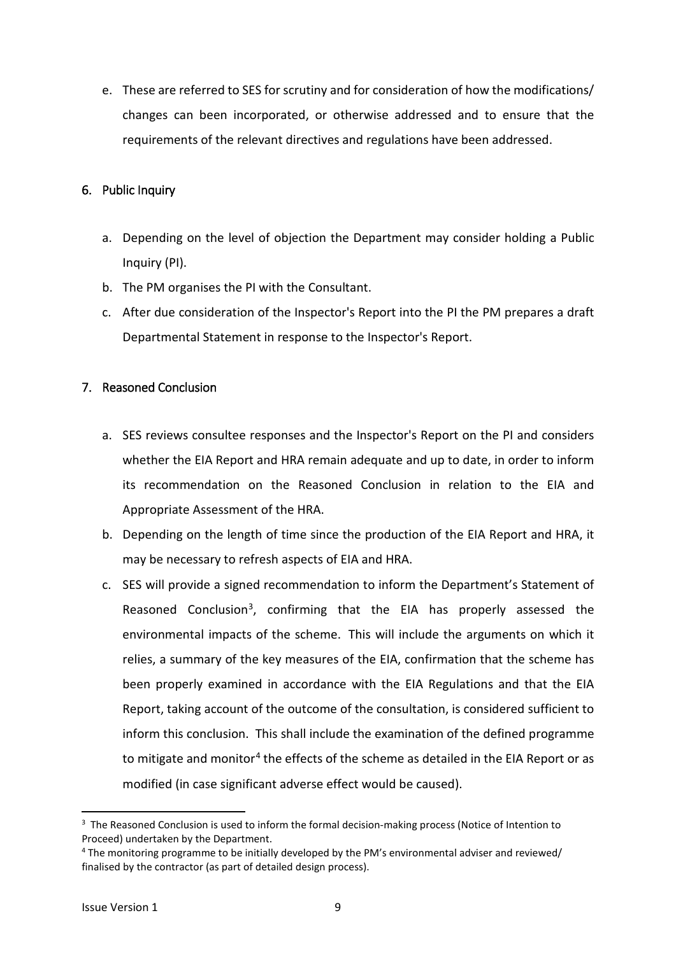e. These are referred to SES for scrutiny and for consideration of how the modifications/ changes can been incorporated, or otherwise addressed and to ensure that the requirements of the relevant directives and regulations have been addressed.

### <span id="page-8-0"></span>6. Public Inquiry

- a. Depending on the level of objection the Department may consider holding a Public Inquiry (PI).
- b. The PM organises the PI with the Consultant.
- c. After due consideration of the Inspector's Report into the PI the PM prepares a draft Departmental Statement in response to the Inspector's Report.

## <span id="page-8-1"></span>7. Reasoned Conclusion

- a. SES reviews consultee responses and the Inspector's Report on the PI and considers whether the EIA Report and HRA remain adequate and up to date, in order to inform its recommendation on the Reasoned Conclusion in relation to the EIA and Appropriate Assessment of the HRA.
- b. Depending on the length of time since the production of the EIA Report and HRA, it may be necessary to refresh aspects of EIA and HRA.
- c. SES will provide a signed recommendation to inform the Department's Statement of Reasoned Conclusion<sup>[3](#page-8-2)</sup>, confirming that the EIA has properly assessed the environmental impacts of the scheme. This will include the arguments on which it relies, a summary of the key measures of the EIA, confirmation that the scheme has been properly examined in accordance with the EIA Regulations and that the EIA Report, taking account of the outcome of the consultation, is considered sufficient to inform this conclusion. This shall include the examination of the defined programme to mitigate and monitor<sup>[4](#page-8-3)</sup> the effects of the scheme as detailed in the EIA Report or as modified (in case significant adverse effect would be caused).

<span id="page-8-2"></span><sup>&</sup>lt;sup>3</sup> The Reasoned Conclusion is used to inform the formal decision-making process (Notice of Intention to Proceed) undertaken by the Department.

<span id="page-8-3"></span><sup>4</sup> The monitoring programme to be initially developed by the PM's environmental adviser and reviewed/ finalised by the contractor (as part of detailed design process).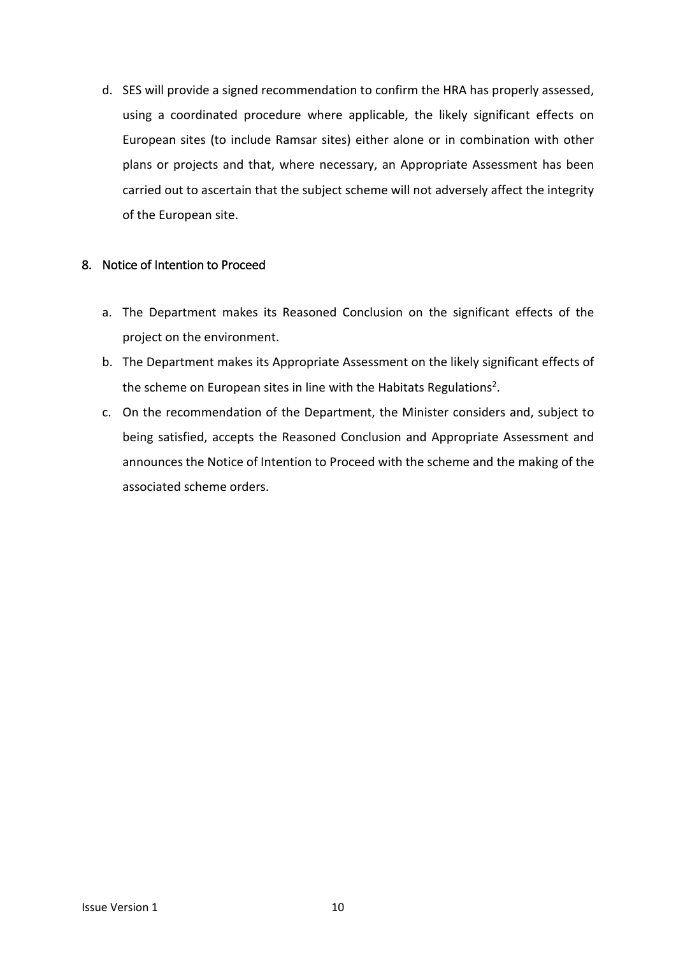d. SES will provide a signed recommendation to confirm the HRA has properly assessed, using a coordinated procedure where applicable, the likely significant effects on European sites (to include Ramsar sites) either alone or in combination with other plans or projects and that, where necessary, an Appropriate Assessment has been carried out to ascertain that the subject scheme will not adversely affect the integrity of the European site.

#### <span id="page-9-0"></span>8. Notice of Intention to Proceed

- a. The Department makes its Reasoned Conclusion on the significant effects of the project on the environment.
- b. The Department makes its Appropriate Assessment on the likely significant effects of the scheme on European sites in line with the Habitats Regulations<sup>2</sup>.
- c. On the recommendation of the Department, the Minister considers and, subject to being satisfied, accepts the Reasoned Conclusion and Appropriate Assessment and announces the Notice of Intention to Proceed with the scheme and the making of the associated scheme orders.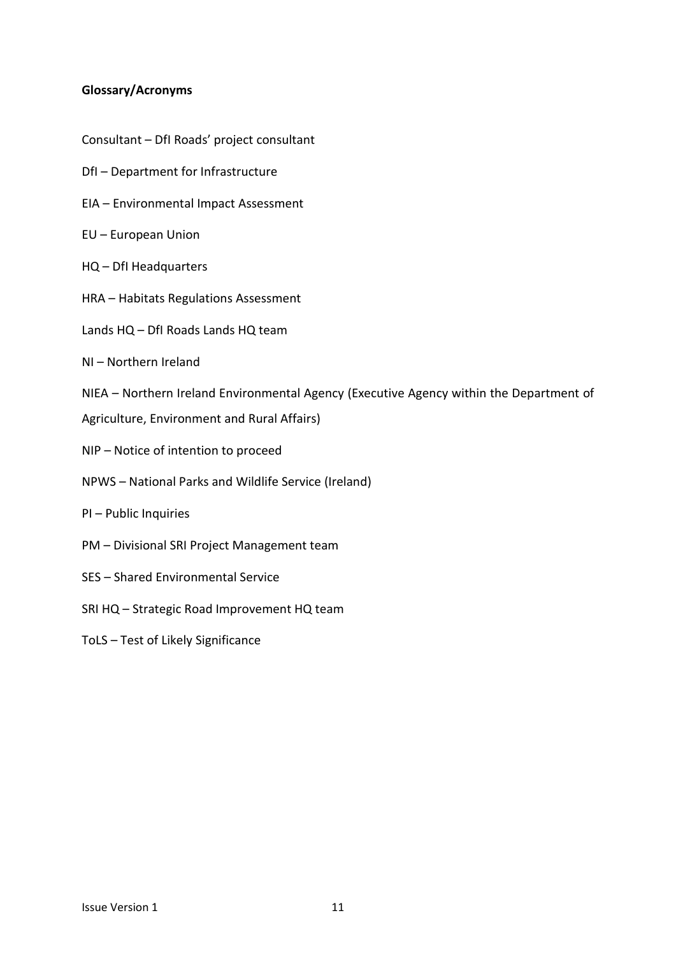#### <span id="page-10-0"></span>**Glossary/Acronyms**

- Consultant DfI Roads' project consultant
- DfI Department for Infrastructure
- EIA Environmental Impact Assessment
- EU European Union
- HQ DfI Headquarters
- HRA Habitats Regulations Assessment
- Lands HQ DfI Roads Lands HQ team
- NI Northern Ireland
- NIEA Northern Ireland Environmental Agency (Executive Agency within the Department of
- Agriculture, Environment and Rural Affairs)
- NIP Notice of intention to proceed
- NPWS National Parks and Wildlife Service (Ireland)
- PI Public Inquiries
- PM Divisional SRI Project Management team
- SES Shared Environmental Service
- SRI HQ Strategic Road Improvement HQ team
- ToLS Test of Likely Significance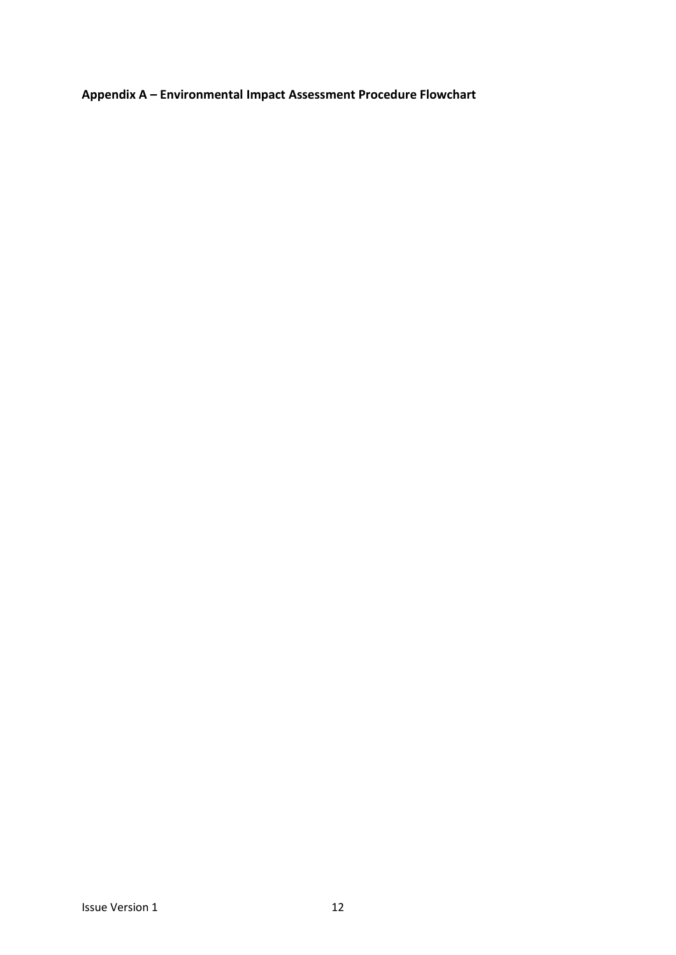<span id="page-11-0"></span>**Appendix A – Environmental Impact Assessment Procedure Flowchart**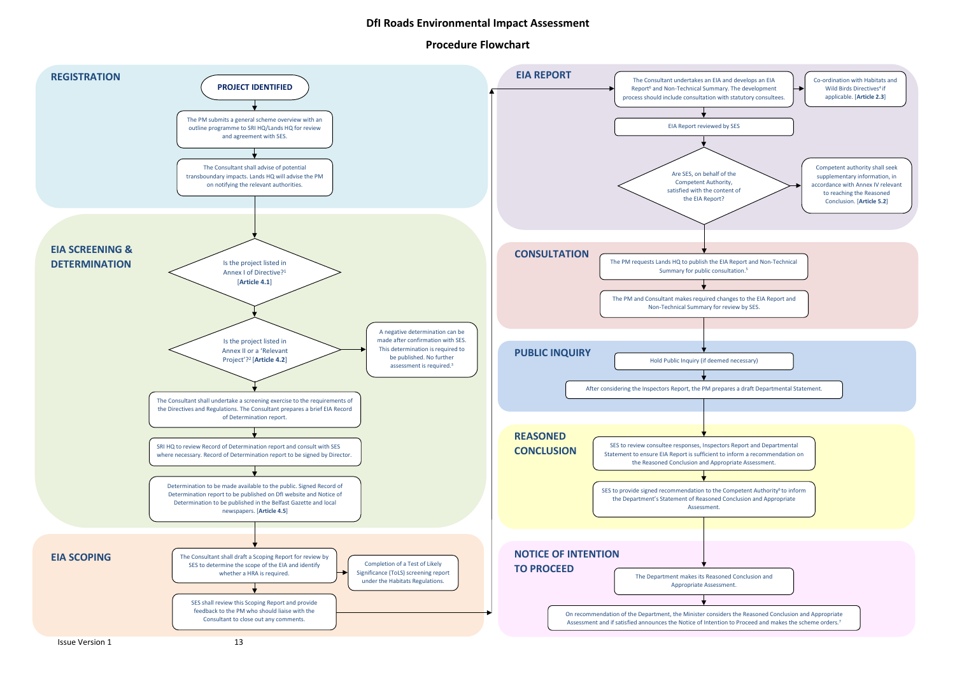

# **DfI Roads Environmental Impact Assessment**

## **Procedure Flowchart**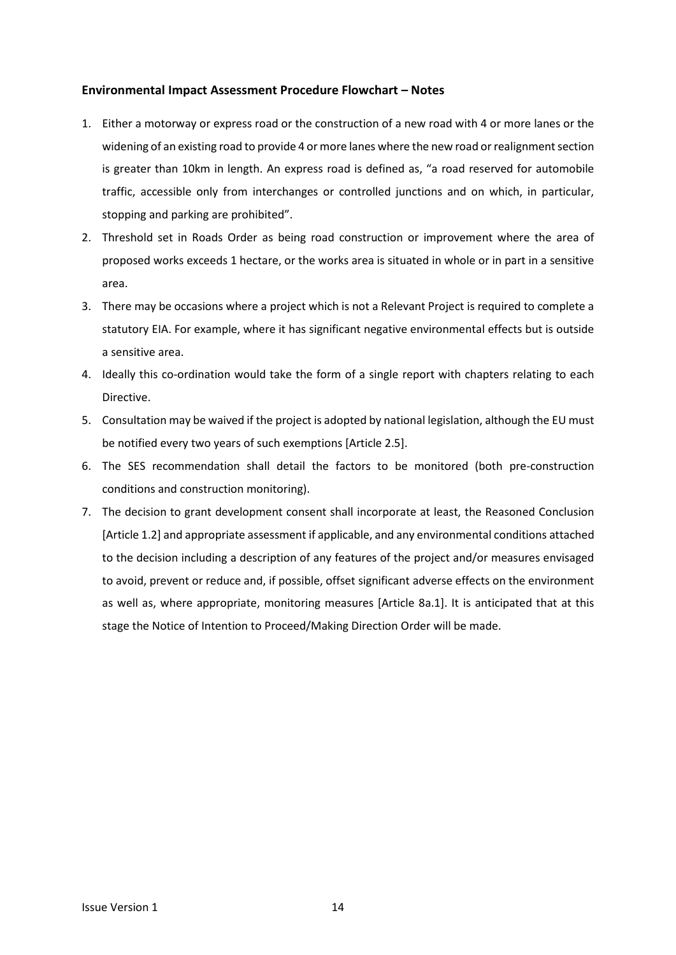#### **Environmental Impact Assessment Procedure Flowchart – Notes**

- 1. Either a motorway or express road or the construction of a new road with 4 or more lanes or the widening of an existing road to provide 4 or more lanes where the new road or realignment section is greater than 10km in length. An express road is defined as, "a road reserved for automobile traffic, accessible only from interchanges or controlled junctions and on which, in particular, stopping and parking are prohibited".
- 2. Threshold set in Roads Order as being road construction or improvement where the area of proposed works exceeds 1 hectare, or the works area is situated in whole or in part in a sensitive area.
- 3. There may be occasions where a project which is not a Relevant Project is required to complete a statutory EIA. For example, where it has significant negative environmental effects but is outside a sensitive area.
- 4. Ideally this co-ordination would take the form of a single report with chapters relating to each Directive.
- 5. Consultation may be waived if the project is adopted by national legislation, although the EU must be notified every two years of such exemptions [Article 2.5].
- 6. The SES recommendation shall detail the factors to be monitored (both pre-construction conditions and construction monitoring).
- 7. The decision to grant development consent shall incorporate at least, the Reasoned Conclusion [Article 1.2] and appropriate assessment if applicable, and any environmental conditions attached to the decision including a description of any features of the project and/or measures envisaged to avoid, prevent or reduce and, if possible, offset significant adverse effects on the environment as well as, where appropriate, monitoring measures [Article 8a.1]. It is anticipated that at this stage the Notice of Intention to Proceed/Making Direction Order will be made.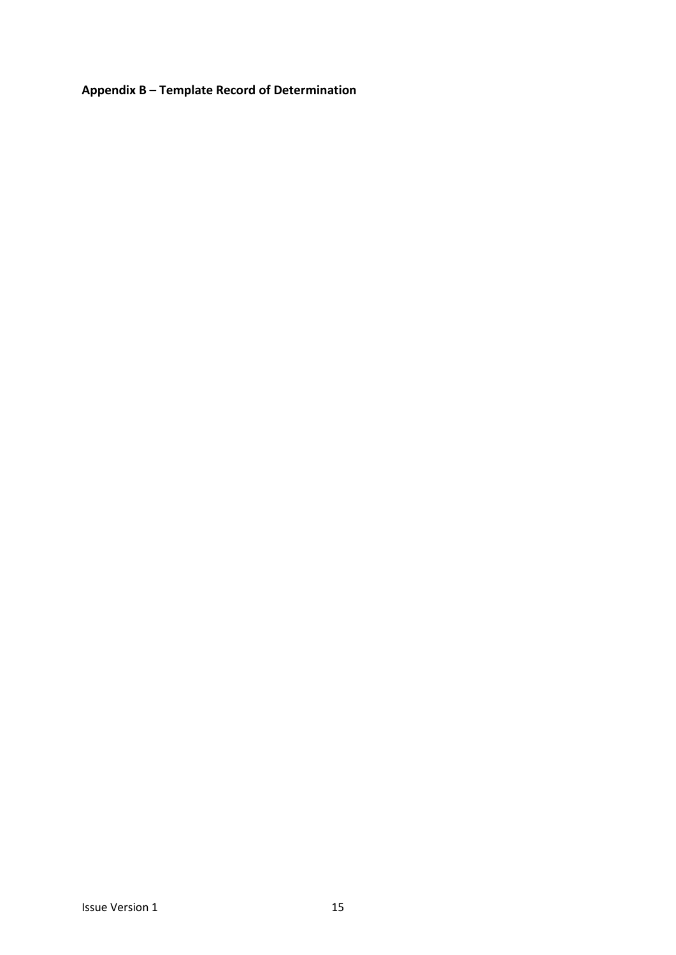<span id="page-14-0"></span>**Appendix B – Template Record of Determination**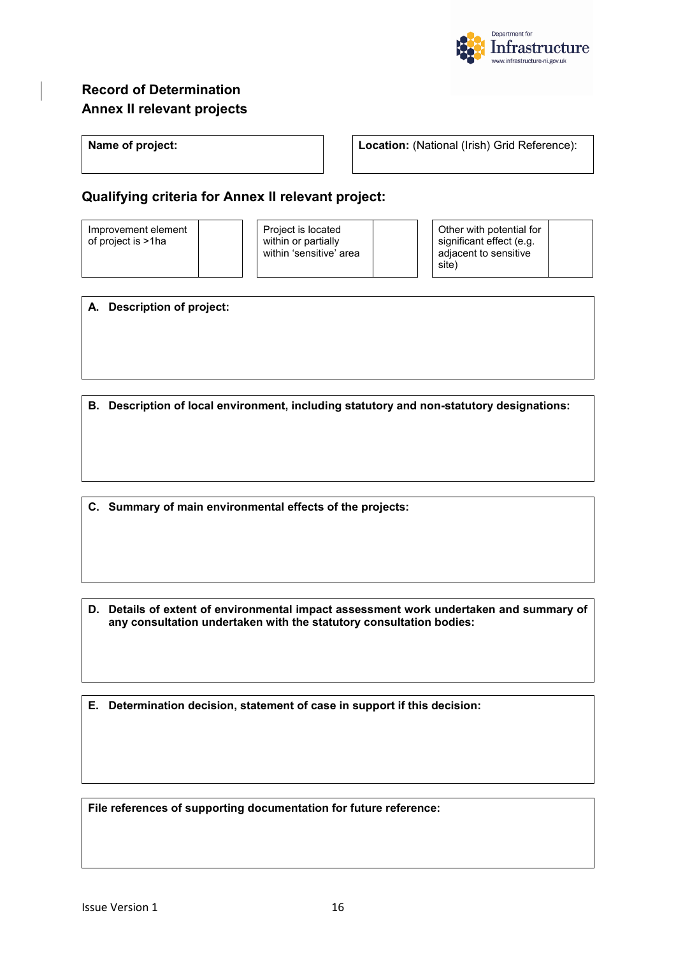

# **Record of Determination Annex II relevant projects**

**Name of project: Location:** (National (Irish) Grid Reference):

# **Qualifying criteria for Annex II relevant project:**

Improvement element of project is >1ha

Project is located within or partially within 'sensitive' area

Other with potential for significant effect (e.g. adjacent to sensitive site)

**A. Description of project:**

**B. Description of local environment, including statutory and non-statutory designations:**

**C. Summary of main environmental effects of the projects:**

**D. Details of extent of environmental impact assessment work undertaken and summary of any consultation undertaken with the statutory consultation bodies:**

**E. Determination decision, statement of case in support if this decision:** 

**File references of supporting documentation for future reference:**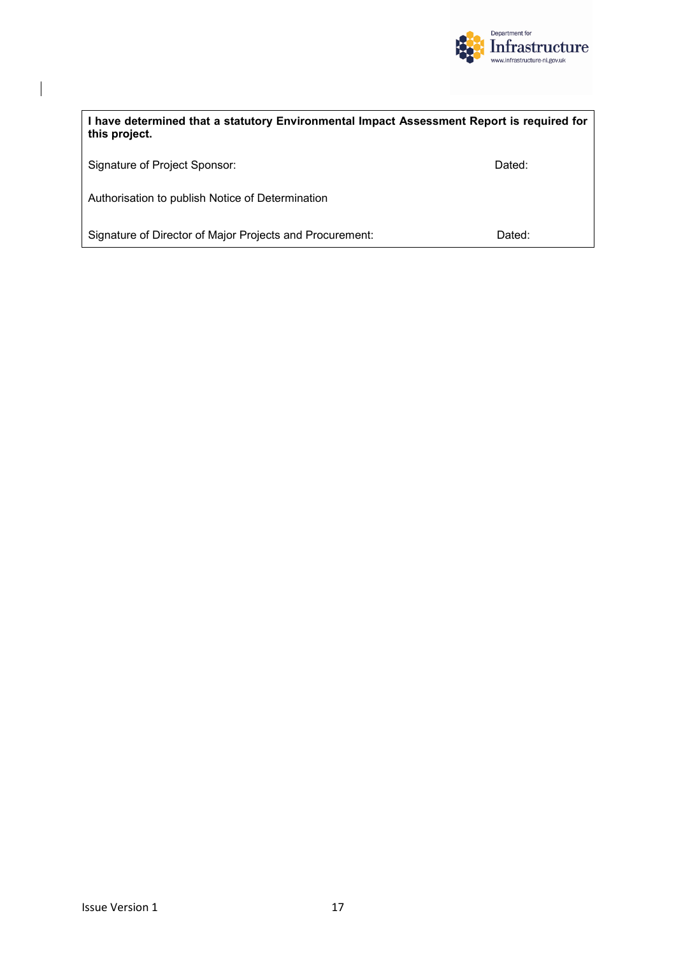

| I have determined that a statutory Environmental Impact Assessment Report is required for<br>this project. |        |  |  |  |  |
|------------------------------------------------------------------------------------------------------------|--------|--|--|--|--|
| Signature of Project Sponsor:                                                                              | Dated: |  |  |  |  |
| Authorisation to publish Notice of Determination                                                           |        |  |  |  |  |
| Signature of Director of Major Projects and Procurement:                                                   | Dated: |  |  |  |  |

 $\begin{array}{c} \hline \end{array}$